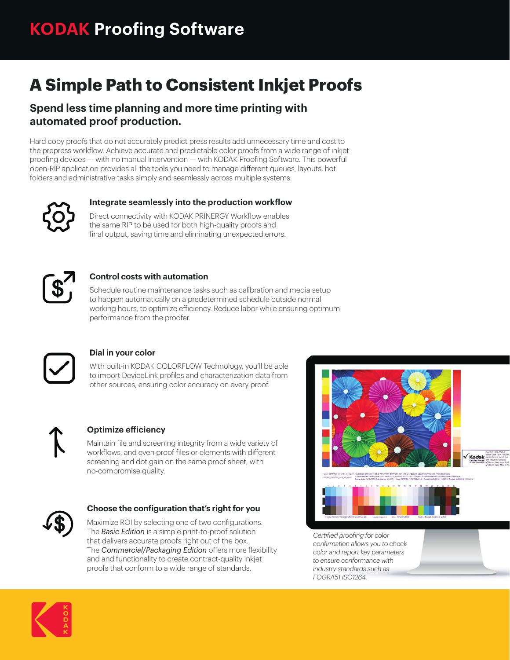# **A Simple Path to Consistent Inkjet Proofs**

### **Spend less time planning and more time printing with automated proof production.**

Hard copy proofs that do not accurately predict press results add unnecessary time and cost to the prepress workflow. Achieve accurate and predictable color proofs from a wide range of inkjet proofing devices — with no manual intervention — with KODAK Proofing Software. This powerful open-RIP application provides all the tools you need to manage different queues, layouts, hot folders and administrative tasks simply and seamlessly across multiple systems.



#### **Integrate seamlessly into the production workflow**

Direct connectivity with KODAK PRINERGY Workflow enables the same RIP to be used for both high-quality proofs and final output, saving time and eliminating unexpected errors.



#### **Control costs with automation**

Schedule routine maintenance tasks such as calibration and media setup to happen automatically on a predetermined schedule outside normal working hours, to optimize efficiency. Reduce labor while ensuring optimum performance from the proofer.



#### **Dial in your color**

With built-in KODAK COLORFLOW Technology, you'll be able to import DeviceLink profiles and characterization data from other sources, ensuring color accuracy on every proof.



#### **Optimize efficiency**

Maintain file and screening integrity from a wide variety of workflows, and even proof files or elements with different screening and dot gain on the same proof sheet, with no-compromise quality.



#### **Choose the configuration that's right for you**

Maximize ROI by selecting one of two configurations. The *Basic Edition* is a simple print-to-proof solution that delivers accurate proofs right out of the box. The **Commercial/Packaging Edition** offers more flexibility and and functionality to create contract-quality inkjet proofs that conform to a wide range of standards.



*Certified proofing for color confirmation allows you to check color and report key parameters to ensure conformance with industry standards such as FOGRA51 ISO1264.*